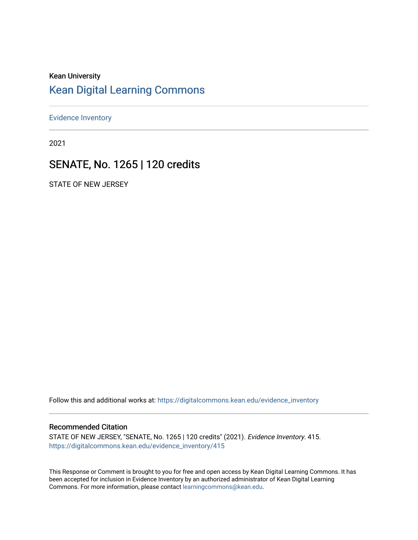## Kean University [Kean Digital Learning Commons](https://digitalcommons.kean.edu/)

[Evidence Inventory](https://digitalcommons.kean.edu/evidence_inventory) 

2021

# SENATE, No. 1265 | 120 credits

STATE OF NEW JERSEY

Follow this and additional works at: [https://digitalcommons.kean.edu/evidence\\_inventory](https://digitalcommons.kean.edu/evidence_inventory?utm_source=digitalcommons.kean.edu%2Fevidence_inventory%2F415&utm_medium=PDF&utm_campaign=PDFCoverPages)

### Recommended Citation

STATE OF NEW JERSEY, "SENATE, No. 1265 | 120 credits" (2021). Evidence Inventory. 415. [https://digitalcommons.kean.edu/evidence\\_inventory/415](https://digitalcommons.kean.edu/evidence_inventory/415?utm_source=digitalcommons.kean.edu%2Fevidence_inventory%2F415&utm_medium=PDF&utm_campaign=PDFCoverPages)

This Response or Comment is brought to you for free and open access by Kean Digital Learning Commons. It has been accepted for inclusion in Evidence Inventory by an authorized administrator of Kean Digital Learning Commons. For more information, please contact [learningcommons@kean.edu.](mailto:learningcommons@kean.edu)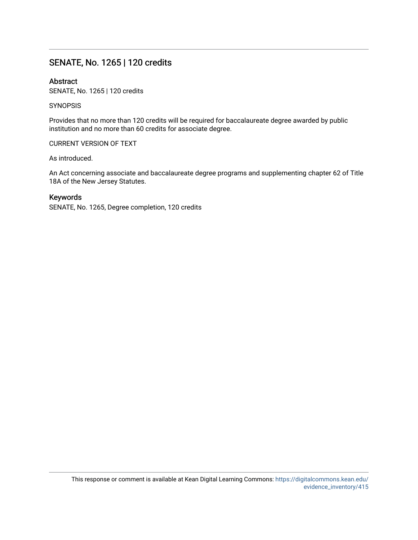## SENATE, No. 1265 | 120 credits

## Abstract

SENATE, No. 1265 | 120 credits

**SYNOPSIS** 

Provides that no more than 120 credits will be required for baccalaureate degree awarded by public institution and no more than 60 credits for associate degree.

CURRENT VERSION OF TEXT

As introduced.

An Act concerning associate and baccalaureate degree programs and supplementing chapter 62 of Title 18A of the New Jersey Statutes.

### Keywords

SENATE, No. 1265, Degree completion, 120 credits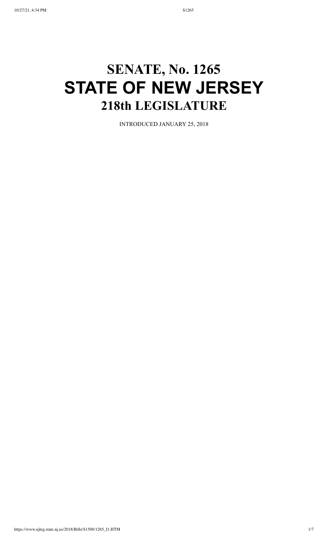# **SENATE, No. 1265 STATE OF NEW JERSEY 218th LEGISLATURE**

INTRODUCED JANUARY 25, 2018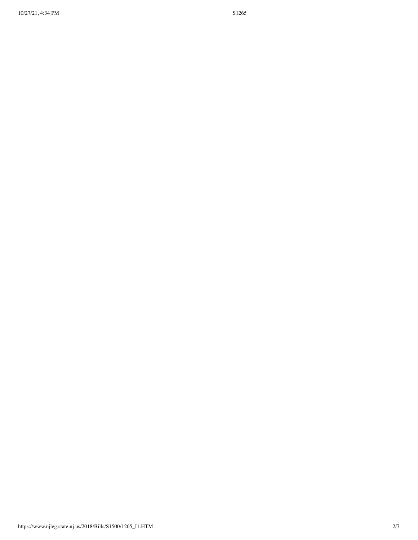10/27/21, 4:34 PM S1265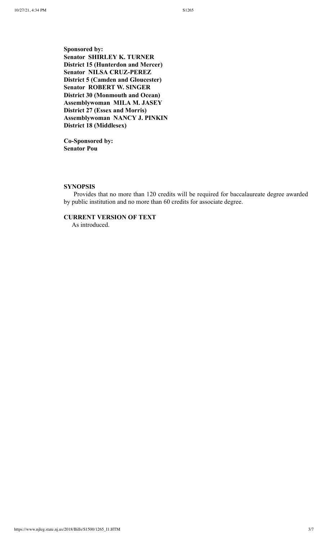**Sponsored by: Senator SHIRLEY K. TURNER District 15 (Hunterdon and Mercer) Senator NILSA CRUZ-PEREZ District 5 (Camden and Gloucester) Senator ROBERT W. SINGER District 30 (Monmouth and Ocean) Assemblywoman MILA M. JASEY District 27 (Essex and Morris) Assemblywoman NANCY J. PINKIN District 18 (Middlesex)**

**Co-Sponsored by: Senator Pou**

#### **SYNOPSIS**

Provides that no more than 120 credits will be required for baccalaureate degree awarded by public institution and no more than 60 credits for associate degree.

## **CURRENT VERSION OF TEXT**

As introduced.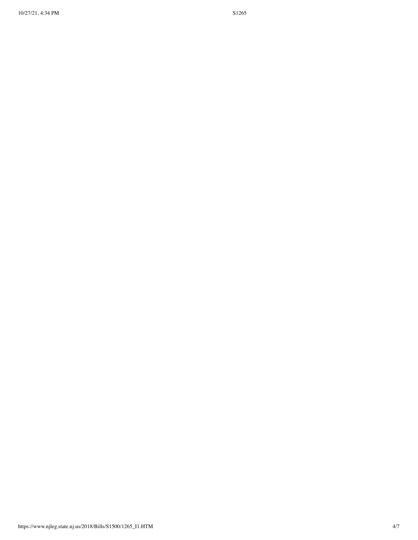10/27/21, 4:34 PM S1265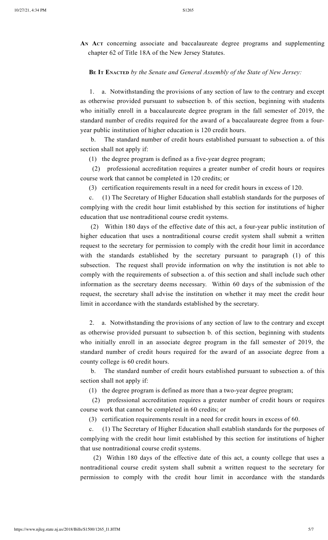**A<sup>n</sup> Act** concerning associate and baccalaureate degree programs and supplementing chapter 62 of Title 18A of the New Jersey Statutes.

## **B<sup>e</sup> I<sup>t</sup> Enacted** *by the Senate and General Assembly of the State of New Jersey:*

1. a. Notwithstanding the provisions of any section of law to the contrary and except as otherwise provided pursuant to subsection b. of this section, beginning with students who initially enroll in a baccalaureate degree program in the fall semester of 2019, the standard number of credits required for the award of a baccalaureate degree from a fouryear public institution of higher education is 120 credit hours.

b. The standard number of credit hours established pursuant to subsection a. of this section shall not apply if:

(1) the degree program is defined as a five-year degree program;

(2) professional accreditation requires a greater number of credit hours or requires course work that cannot be completed in 120 credits; or

(3) certification requirements result in a need for credit hours in excess of 120.

c. (1) The Secretary of Higher Education shall establish standards for the purposes of complying with the credit hour limit established by this section for institutions of higher education that use nontraditional course credit systems.

(2) Within 180 days of the effective date of this act, a four-year public institution of higher education that uses a nontraditional course credit system shall submit a written request to the secretary for permission to comply with the credit hour limit in accordance with the standards established by the secretary pursuant to paragraph (1) of this subsection. The request shall provide information on why the institution is not able to comply with the requirements of subsection a. of this section and shall include such other information as the secretary deems necessary. Within 60 days of the submission of the request, the secretary shall advise the institution on whether it may meet the credit hour limit in accordance with the standards established by the secretary.

2. a. Notwithstanding the provisions of any section of law to the contrary and except as otherwise provided pursuant to subsection b. of this section, beginning with students who initially enroll in an associate degree program in the fall semester of 2019, the standard number of credit hours required for the award of an associate degree from a county college is 60 credit hours.

b. The standard number of credit hours established pursuant to subsection a. of this section shall not apply if:

(1) the degree program is defined as more than a two-year degree program;

(2) professional accreditation requires a greater number of credit hours or requires course work that cannot be completed in 60 credits; or

(3) certification requirements result in a need for credit hours in excess of 60.

c. (1) The Secretary of Higher Education shall establish standards for the purposes of complying with the credit hour limit established by this section for institutions of higher that use nontraditional course credit systems.

(2) Within 180 days of the effective date of this act, a county college that uses a nontraditional course credit system shall submit a written request to the secretary for permission to comply with the credit hour limit in accordance with the standards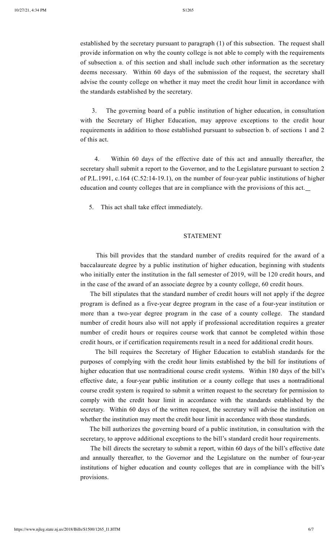established by the secretary pursuant to paragraph (1) of this subsection. The request shall provide information on why the county college is not able to comply with the requirements of subsection a. of this section and shall include such other information as the secretary deems necessary. Within 60 days of the submission of the request, the secretary shall advise the county college on whether it may meet the credit hour limit in accordance with the standards established by the secretary.

3. The governing board of a public institution of higher education, in consultation with the Secretary of Higher Education, may approve exceptions to the credit hour requirements in addition to those established pursuant to subsection b. of sections 1 and 2 of this act.

4. Within 60 days of the effective date of this act and annually thereafter, the secretary shall submit a report to the Governor, and to the Legislature pursuant to section 2 of P.L.1991, c.164 (C.52:14-19.1), on the number of four-year public institutions of higher education and county colleges that are in compliance with the provisions of this act.

5. This act shall take effect immediately.

## STATEMENT

This bill provides that the standard number of credits required for the award of a baccalaureate degree by a public institution of higher education, beginning with students who initially enter the institution in the fall semester of 2019, will be 120 credit hours, and in the case of the award of an associate degree by a county college, 60 credit hours.

The bill stipulates that the standard number of credit hours will not apply if the degree program is defined as a five-year degree program in the case of a four-year institution or more than a two-year degree program in the case of a county college. The standard number of credit hours also will not apply if professional accreditation requires a greater number of credit hours or requires course work that cannot be completed within those credit hours, or if certification requirements result in a need for additional credit hours.

The bill requires the Secretary of Higher Education to establish standards for the purposes of complying with the credit hour limits established by the bill for institutions of higher education that use nontraditional course credit systems. Within 180 days of the bill's effective date, a four-year public institution or a county college that uses a nontraditional course credit system is required to submit a written request to the secretary for permission to comply with the credit hour limit in accordance with the standards established by the secretary. Within 60 days of the written request, the secretary will advise the institution on whether the institution may meet the credit hour limit in accordance with those standards.

The bill authorizes the governing board of a public institution, in consultation with the secretary, to approve additional exceptions to the bill's standard credit hour requirements.

The bill directs the secretary to submit a report, within 60 days of the bill's effective date and annually thereafter, to the Governor and the Legislature on the number of four-year institutions of higher education and county colleges that are in compliance with the bill's provisions.